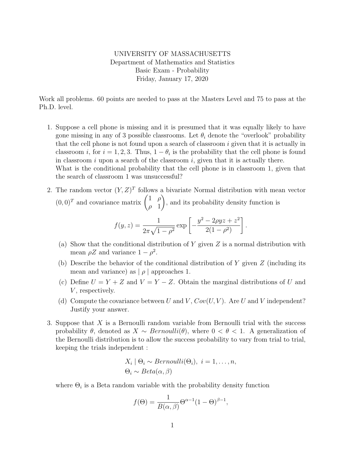## UNIVERSITY OF MASSACHUSETTS Department of Mathematics and Statistics Basic Exam - Probability Friday, January 17, 2020

Work all problems. 60 points are needed to pass at the Masters Level and 75 to pass at the Ph.D. level.

- 1. Suppose a cell phone is missing and it is presumed that it was equally likely to have gone missing in any of 3 possible classrooms. Let  $\theta_i$  denote the "overlook" probability that the cell phone is not found upon a search of classroom  $i$  given that it is actually in classroom *i*, for  $i = 1, 2, 3$ . Thus,  $1 - \theta_i$  is the probability that the cell phone is found in classroom  $i$  upon a search of the classroom  $i$ , given that it is actually there. What is the conditional probability that the cell phone is in classroom 1, given that the search of classroom 1 was unsuccessful?
- 2. The random vector  $(Y, Z)^T$  follows a bivariate Normal distribution with mean vector  $(0,0)^T$  and covariance matrix  $\begin{pmatrix} 1 & \rho \\ 0 & 1 \end{pmatrix}$  $\rho$  1  $\setminus$ , and its probability density function is

$$
f(y, z) = \frac{1}{2\pi\sqrt{1 - \rho^2}} \exp\left[-\frac{y^2 - 2\rho y z + z^2}{2(1 - \rho^2)}\right]
$$

.

- (a) Show that the conditional distribution of Y given  $Z$  is a normal distribution with mean  $\rho Z$  and variance  $1 - \rho^2$ .
- (b) Describe the behavior of the conditional distribution of  $Y$  given  $Z$  (including its mean and variance) as  $|\rho|$  approaches 1.
- (c) Define  $U = Y + Z$  and  $V = Y Z$ . Obtain the marginal distributions of U and  $V$ , respectively.
- (d) Compute the covariance between U and V,  $Cov(U, V)$ . Are U and V independent? Justify your answer.
- 3. Suppose that X is a Bernoulli random variable from Bernoulli trial with the success probability  $\theta$ , denoted as  $X \sim Bernoulli(\theta)$ , where  $0 \lt \theta \lt 1$ . A generalization of the Bernoulli distribution is to allow the success probability to vary from trial to trial, keeping the trials independent :

$$
X_i | \Theta_i \sim Bernoulli(\Theta_i), i = 1, ..., n,
$$
  

$$
\Theta_i \sim Beta(\alpha, \beta)
$$

where  $\Theta_i$  is a Beta random variable with the probability density function

$$
f(\Theta) = \frac{1}{B(\alpha, \beta)} \Theta^{\alpha - 1} (1 - \Theta)^{\beta - 1},
$$